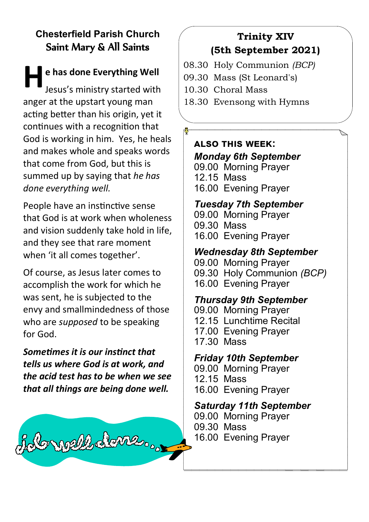## **Chesterfield Parish Church** Saint Mary & All Saints

**H** e has done Everything Well<br>Jesus's ministry started with Jesus's ministry started with anger at the upstart young man acting better than his origin, yet it continues with a recognition that God is working in him. Yes, he heals and makes whole and speaks words that come from God, but this is summed up by saying that *he has done everything well.*

People have an instinctive sense that God is at work when wholeness and vision suddenly take hold in life, and they see that rare moment when 'it all comes together'.

Of course, as Jesus later comes to accomplish the work for which he was sent, he is subjected to the envy and smallmindedness of those who are *supposed* to be speaking for God.

*Sometimes it is our instinct that tells us where God is at work, and the acid test has to be when we see that all things are being done well.*

folongell deme...

# **Trinity XIV (5th September 2021)**

- 08.30 Holy Communion *(BCP)*
- 09.30 Mass (St Leonard's)
- 10.30 Choral Mass
- 18.30 Evensong with Hymns

#### **also this week:** *Monday 6th September*

09.00 Morning Prayer 12.15 Mass 16.00 Evening Prayer

## *Tuesday 7th September*

09.00 Morning Prayer 09.30 Mass 16.00 Evening Prayer

## *Wednesday 8th September*

09.00 Morning Prayer 09.30 Holy Communion *(BCP)* 16.00 Evening Prayer

## *Thursday 9th September*

09.00 Morning Prayer 12.15 Lunchtime Recital 17.00 Evening Prayer 17.30 Mass

## *Friday 10th September*

- 09.00 Morning Prayer
- 12.15 Mass
- 16.00 Evening Prayer

## *Saturday 11th September*

- 09.00 Morning Prayer
- 09.30 Mass
- 16.00 Evening Prayer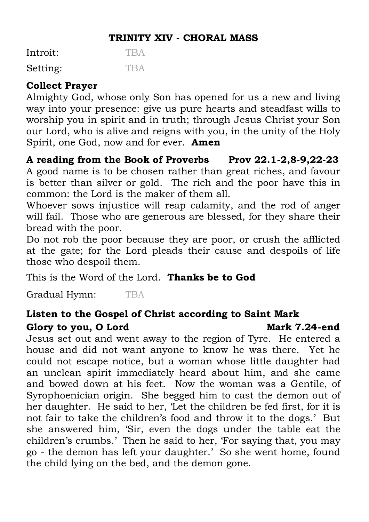#### **TRINITY XIV - CHORAL MASS**

Introit: TRA Setting: TBA

#### **Collect Prayer**

Almighty God, whose only Son has opened for us a new and living way into your presence: give us pure hearts and steadfast wills to worship you in spirit and in truth; through Jesus Christ your Son our Lord, who is alive and reigns with you, in the unity of the Holy Spirit, one God, now and for ever. **Amen**

**A reading from the Book of Proverbs Prov 22.1-2,8-9,22-23** A good name is to be chosen rather than great riches, and favour is better than silver or gold. The rich and the poor have this in common: the Lord is the maker of them all.

Whoever sows injustice will reap calamity, and the rod of anger will fail. Those who are generous are blessed, for they share their bread with the poor.

Do not rob the poor because they are poor, or crush the afflicted at the gate; for the Lord pleads their cause and despoils of life those who despoil them.

This is the Word of the Lord. **Thanks be to God**

Gradual Hymn: TBA

# **Listen to the Gospel of Christ according to Saint Mark**

#### Glory to you, O Lord Mark 7.24-end

Jesus set out and went away to the region of Tyre. He entered a house and did not want anyone to know he was there. Yet he could not escape notice, but a woman whose little daughter had an unclean spirit immediately heard about him, and she came and bowed down at his feet. Now the woman was a Gentile, of Syrophoenician origin. She begged him to cast the demon out of her daughter. He said to her, 'Let the children be fed first, for it is not fair to take the children's food and throw it to the dogs.' But she answered him, 'Sir, even the dogs under the table eat the children's crumbs.' Then he said to her, 'For saying that, you may go - the demon has left your daughter.' So she went home, found the child lying on the bed, and the demon gone.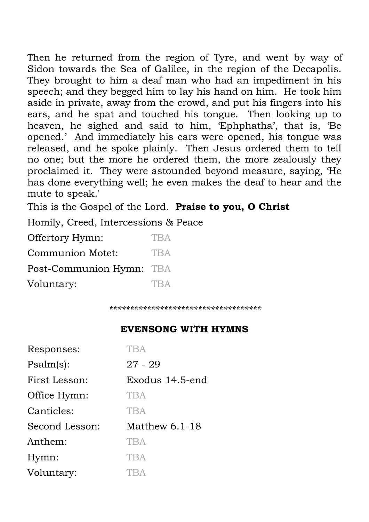Then he returned from the region of Tyre, and went by way of Sidon towards the Sea of Galilee, in the region of the Decapolis. They brought to him a deaf man who had an impediment in his speech; and they begged him to lay his hand on him. He took him aside in private, away from the crowd, and put his fingers into his ears, and he spat and touched his tongue. Then looking up to heaven, he sighed and said to him, 'Ephphatha', that is, 'Be opened.' And immediately his ears were opened, his tongue was released, and he spoke plainly. Then Jesus ordered them to tell no one; but the more he ordered them, the more zealously they proclaimed it. They were astounded beyond measure, saying, 'He has done everything well; he even makes the deaf to hear and the mute to speak.'

This is the Gospel of the Lord. **Praise to you, O Christ**

Homily, Creed, Intercessions & Peace

Offertory Hymn: TBA Communion Motet: TBA Post-Communion Hymn: TBA Voluntary: TBA

*\*\*\*\*\*\*\*\*\*\*\*\*\*\*\*\*\*\*\*\*\*\*\*\*\*\*\*\*\*\*\*\*\*\*\*\**

#### **EVENSONG WITH HYMNS**

| Responses:     | <b>TBA</b>       |
|----------------|------------------|
| Psalm(s):      | $27 - 29$        |
| First Lesson:  | Exodus 14.5-end  |
| Office Hymn:   | <b>TBA</b>       |
| Canticles:     | <b>TRA</b>       |
| Second Lesson: | Matthew $6.1-18$ |
| Anthem:        | <b>TBA</b>       |
| Hymn:          | <b>TBA</b>       |
| Voluntary:     | TBA              |